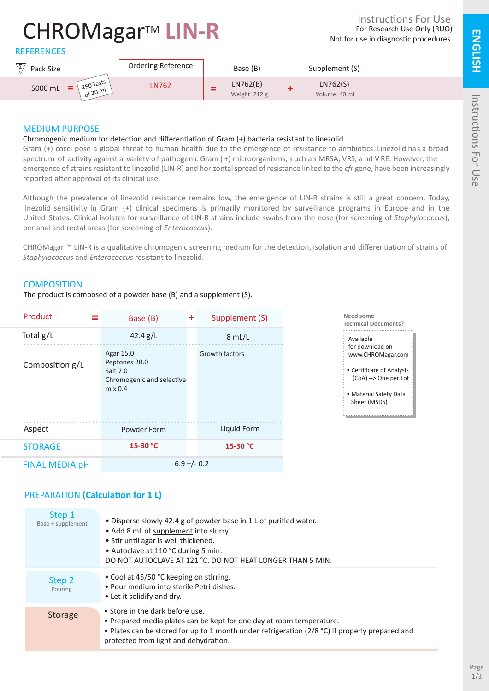**ENGLISH**

# CHROMagar™ LIN-R

For Research Use Only (RUO) Not for use in diagnostic procedures. Instructions For Use





## MEDIUM PURPOSE

#### Chromogenic medium for detection and differentiation of Gram (+) bacteria resistant to linezolid

Gram (+) cocci pose a global threat to human health due to the emergence of resistance to antibiotics. Linezolid has a broad spectrum of activity against a variety o f pathogenic Gram ( +) microorganisms, s uch a s MRSA, VRS, a nd V RE. However, the emergence of strains resistant to linezolid (LIN-R) and horizontal spread of resistance linked to the *cfr* gene, have been increasingly reported after approval of its clinical use.

Although the prevalence of linezolid resistance remains low, the emergence of LIN-R strains is still a great concern. Today, linezolid sensitivity in Gram (+) clinical specimens is primarily monitored by surveillance programs in Europe and in the United States. Clinical isolates for surveillance of LIN-R strains include swabs from the nose (for screening of *Staphylococcus*), perianal and rectal areas (for screening of *Enterococcus*).

CHROMagar ™ LIN-R is a qualitative chromogenic screening medium for the detection, isolation and differentiation of strains of *Staphylococcus* and *Enterococcus* resistant to linezolid.

## **COMPOSITION**

The product is composed of a powder base (B) and a supplement (S).

| Product               | Base (B)                                                                       | ÷ | Supplement (S) |
|-----------------------|--------------------------------------------------------------------------------|---|----------------|
| Total $g/L$           | 42.4 $g/L$                                                                     |   | 8 mL/L         |
| Composition g/L       | Agar 15.0<br>Peptones 20.0<br>Salt 7.0<br>Chromogenic and selective<br>mix 0.4 |   | Growth factors |
| Aspect                | Powder Form                                                                    |   | Liquid Form    |
| <b>STORAGE</b>        | 15-30 °C                                                                       |   | 15-30 °C       |
| <b>FINAL MEDIA pH</b> | $6.9 + (-0.2)$                                                                 |   |                |



| Step 1<br>Base + supplement | • Disperse slowly 42.4 g of powder base in 1 L of purified water.<br>• Add 8 mL of supplement into slurry.<br>• Stir until agar is well thickened.<br>• Autoclave at 110 °C during 5 min.<br>DO NOT AUTOCLAVE AT 121 °C. DO NOT HEAT LONGER THAN 5 MIN. |
|-----------------------------|---------------------------------------------------------------------------------------------------------------------------------------------------------------------------------------------------------------------------------------------------------|
| Step 2<br>Pouring           | • Cool at 45/50 °C keeping on stirring.<br>• Pour medium into sterile Petri dishes.<br>• Let it solidify and dry.                                                                                                                                       |
| <b>Storage</b>              | • Store in the dark before use.<br>• Prepared media plates can be kept for one day at room temperature.<br>• Plates can be stored for up to 1 month under refrigeration (2/8 °C) if properly prepared and<br>protected from light and dehydration.      |

**Need some Technical Documents?**

- Available for download on www.CHROMagar.com
- Certificate of Analysis (CoA) --> One per Lot
- Material Safety Data Sheet (MSDS)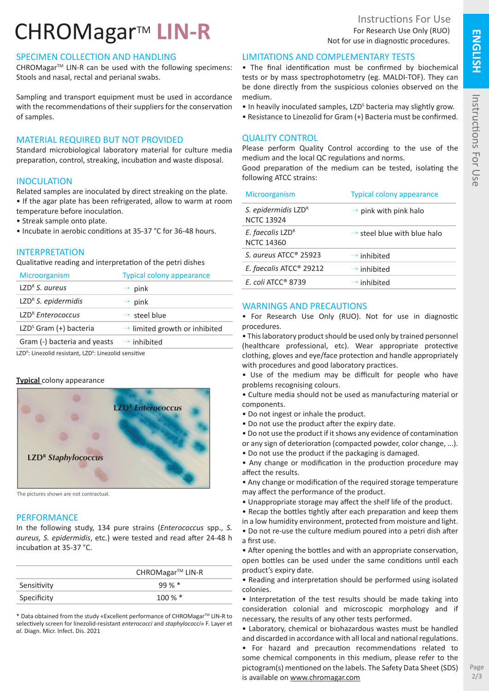# CHROMagar™ LIN-R

# SPECIMEN COLLECTION AND HANDLING

CHROMagar<sup>™</sup> LIN-R can be used with the following specimens: Stools and nasal, rectal and perianal swabs.

Sampling and transport equipment must be used in accordance with the recommendations of their suppliers for the conservation of samples.

## MATERIAL REQUIRED BUT NOT PROVIDED

Standard microbiological laboratory material for culture media preparation, control, streaking, incubation and waste disposal.

## **INOCULATION**

Related samples are inoculated by direct streaking on the plate. • If the agar plate has been refrigerated, allow to warm at room temperature before inoculation.

- Streak sample onto plate.
- Incubate in aerobic conditions at 35-37 °C for 36-48 hours.

## INTERPRETATION

Qualitative reading and interpretation of the petri dishes

| Microorganism                        | <b>Typical colony appearance</b>          |
|--------------------------------------|-------------------------------------------|
| $LZDR$ S. aureus                     | $\rightarrow$ pink                        |
| LZD <sup>R</sup> S. epidermidis      | $\rightarrow$ pink                        |
| LZD <sup>R</sup> Enterococcus        | $\rightarrow$ steel blue                  |
| LZD <sup>S</sup> Gram $(+)$ bacteria | $\rightarrow$ limited growth or inhibited |
| Gram (-) bacteria and yeasts         | $\rightarrow$ inhibited                   |
|                                      |                                           |

LZD<sup>R</sup>: Linezolid resistant, LZD<sup>S</sup>: Linezolid sensitive

#### **Typical** colony appearance



The pictures shown are not contractual.

#### **PERFORMANCE**

In the following study, 134 pure strains (*Enterococcus* spp., *S. aureus, S. epidermidis*, etc.) were tested and read after 24-48 h incubation at 35-37 °C.

|             | CHROMagar <sup>™</sup> LIN-R |
|-------------|------------------------------|
| Sensitivity | $99 \%$ *                    |
| Specificity | $100\,\%$ $*$                |

\* Data obtained from the study «Excellent performance of CHROMagarTM LIN-R to selectively screen for linezolid-resistant *enterococci* and *staphylococci*» F. Layer et *al.* Diagn. Micr. Infect. Dis. 2021

## LIMITATIONS AND COMPLEMENTARY TESTS

• The final identification must be confirmed by biochemical tests or by mass spectrophotometry (eg. MALDI-TOF). They can be done directly from the suspicious colonies observed on the medium.

- In heavily inoculated samples, LZD<sup>s</sup> bacteria may slightly grow.
- Resistance to Linezolid for Gram (+) Bacteria must be confirmed.

## QUALITY CONTROL

Please perform Quality Control according to the use of the medium and the local QC regulations and norms. Good preparation of the medium can be tested, isolating the

following ATCC strains:

| Microorganism                            | <b>Typical colony appearance</b>        |
|------------------------------------------|-----------------------------------------|
| S. epidermidis LZDR<br><b>NCTC 13924</b> | $\rightarrow$ pink with pink halo       |
| E. faecalis LZDR<br><b>NCTC 14360</b>    | $\rightarrow$ steel blue with blue halo |
| S. aureus ATCC <sup>®</sup> 25923        | $\rightarrow$ inhibited                 |
| E. faecalis ATCC <sup>®</sup> 29212      | $\rightarrow$ inhibited                 |
| $F_{c}$ coli ATCC <sup>®</sup> 8739      | $\rightarrow$ inhibited                 |

#### WARNINGS AND PRECAUTIONS

• For Research Use Only (RUO). Not for use in diagnostic procedures.

• This laboratory product should be used only by trained personnel (healthcare professional, etc). Wear appropriate protective clothing, gloves and eye/face protection and handle appropriately with procedures and good laboratory practices.

• Use of the medium may be difficult for people who have problems recognising colours.

• Culture media should not be used as manufacturing material or components.

- Do not ingest or inhale the product.
- Do not use the product after the expiry date.

• Do not use the product if it shows any evidence of contamination

or any sign of deterioration (compacted powder, color change, ...).

• Do not use the product if the packaging is damaged.

• Any change or modification in the production procedure may affect the results.

• Any change or modification of the required storage temperature may affect the performance of the product.

- Unappropriate storage may affect the shelf life of the product.
- Recap the bottles tightly after each preparation and keep them
- in a low humidity environment, protected from moisture and light.
- Do not re-use the culture medium poured into a petri dish after a first use.

• After opening the bottles and with an appropriate conservation, open bottles can be used under the same conditions until each product's expiry date.

• Reading and interpretation should be performed using isolated colonies.

• Interpretation of the test results should be made taking into consideration colonial and microscopic morphology and if necessary, the results of any other tests performed.

• Laboratory, chemical or biohazardous wastes must be handled and discarded in accordance with all local and national regulations.

• For hazard and precaution recommendations related to some chemical components in this medium, please refer to the pictogram(s) mentioned on the labels. The Safety Data Sheet (SDS) is available on www.chromagar.com